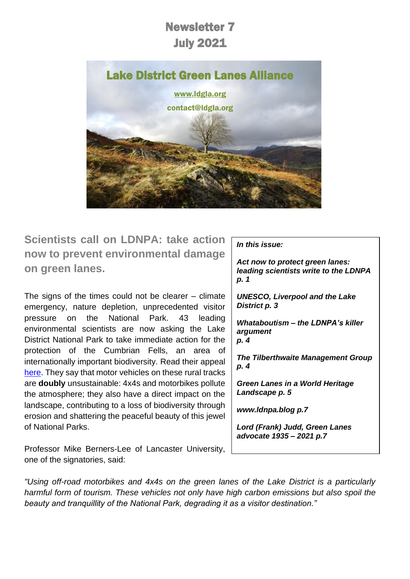# Newsletter 7 July 2021



**Scientists call on LDNPA: take action now to prevent environmental damage on green lanes.**

The signs of the times could not be clearer  $-$  climate emergency, nature depletion, unprecedented visitor pressure on the National Park. 43 leading environmental scientists are now asking the Lake District National Park to take immediate action for the protection of the Cumbrian Fells, an area of internationally important biodiversity. Read their appeal [here.](https://d93992ec-49a9-490d-8cd2-4c8f6682bde7.filesusr.com/ugd/269609_d8cb2a7c8e884edb9cd6397489aca01c.pdf) They say that motor vehicles on these rural tracks are **doubly** unsustainable: 4x4s and motorbikes pollute the atmosphere; they also have a direct impact on the landscape, contributing to a loss of biodiversity through erosion and shattering the peaceful beauty of this jewel of National Parks.

Professor Mike Berners-Lee of Lancaster University, one of the signatories, said:

#### *In this issue:*

*Act now to protect green lanes: leading scientists write to the LDNPA p. 1*

*UNESCO, Liverpool and the Lake District p. 3*

*Whataboutism – the LDNPA's killer argument p. 4*

*The Tilberthwaite Management Group p. 4*

*Green Lanes in a World Heritage Landscape p. 5*

*www.ldnpa.blog p.7*

*Lord (Frank) Judd, Green Lanes advocate 1935 – 2021 p.7*

*"Using off-road motorbikes and 4x4s on the green lanes of the Lake District is a particularly harmful form of tourism. These vehicles not only have high carbon emissions but also spoil the beauty and tranquillity of the National Park, degrading it as a visitor destination."*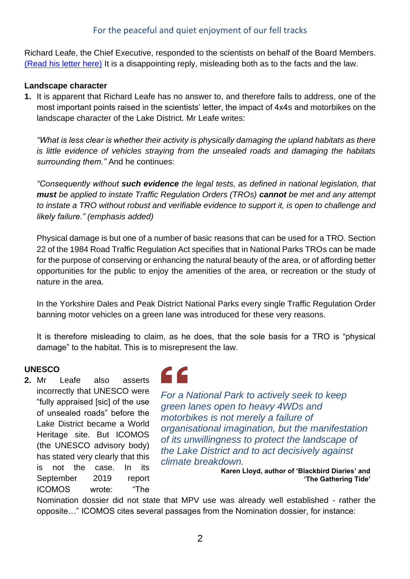#### For the peaceful and quiet enjoyment of our fell tracks

Richard Leafe, the Chief Executive, responded to the scientists on behalf of the Board Members. [\(Read his letter here\)](https://d93992ec-49a9-490d-8cd2-4c8f6682bde7.filesusr.com/ugd/269609_964932c483b0449f88f64d19d58f0a6a.pdf) It is a disappointing reply, misleading both as to the facts and the law.

#### **Landscape character**

**1.** It is apparent that Richard Leafe has no answer to, and therefore fails to address, one of the most important points raised in the scientists' letter, the impact of 4x4s and motorbikes on the landscape character of the Lake District. Mr Leafe writes:

*"What is less clear is whether their activity is physically damaging the upland habitats as there is little evidence of vehicles straying from the unsealed roads and damaging the habitats surrounding them."* And he continues:

*"Consequently without such evidence the legal tests, as defined in national legislation, that must be applied to instate Traffic Regulation Orders (TROs) cannot be met and any attempt to instate a TRO without robust and verifiable evidence to support it, is open to challenge and likely failure." (emphasis added)*

Physical damage is but one of a number of basic reasons that can be used for a TRO. Section 22 of the 1984 Road Traffic Regulation Act specifies that in National Parks TROs can be made for the purpose of conserving or enhancing the natural beauty of the area, or of affording better opportunities for the public to enjoy the amenities of the area, or recreation or the study of nature in the area.

In the Yorkshire Dales and Peak District National Parks every single Traffic Regulation Order banning motor vehicles on a green lane was introduced for these very reasons.

It is therefore misleading to claim, as he does, that the sole basis for a TRO is "physical damage" to the habitat. This is to misrepresent the law.

#### **UNESCO**

**2.** Mr Leafe also asserts incorrectly that UNESCO were "fully appraised [sic] of the use of unsealed roads" before the Lake District became a World Heritage site. But ICOMOS (the UNESCO advisory body) has stated very clearly that this is not the case. In its September 2019 report ICOMOS wrote: "The



*For a National Park to actively seek to keep green lanes open to heavy 4WDs and motorbikes is not merely a failure of organisational imagination, but the manifestation of its unwillingness to protect the landscape of the Lake District and to act decisively against climate breakdown.*

**Karen Lloyd, author of 'Blackbird Diaries' and 'The Gathering Tide'**

Nomination dossier did not state that MPV use was already well established - rather the opposite…" ICOMOS cites several passages from the Nomination dossier, for instance: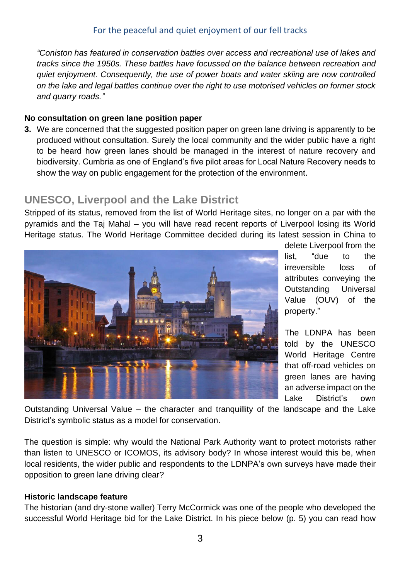*"Coniston has featured in conservation battles over access and recreational use of lakes and tracks since the 1950s. These battles have focussed on the balance between recreation and quiet enjoyment. Consequently, the use of power boats and water skiing are now controlled on the lake and legal battles continue over the right to use motorised vehicles on former stock and quarry roads."*

#### **No consultation on green lane position paper**

**3.** We are concerned that the suggested position paper on green lane driving is apparently to be produced without consultation. Surely the local community and the wider public have a right to be heard how green lanes should be managed in the interest of nature recovery and biodiversity. Cumbria as one of England's five pilot areas for Local Nature Recovery needs to show the way on public engagement for the protection of the environment.

## **UNESCO, Liverpool and the Lake District**

Stripped of its status, removed from the list of World Heritage sites, no longer on a par with the pyramids and the Taj Mahal – you will have read recent reports of Liverpool losing its World Heritage status. The World Heritage Committee decided during its latest session in China to



delete Liverpool from the list, "due to the irreversible loss of attributes conveying the Outstanding Universal Value (OUV) of the property."

The LDNPA has been told by the UNESCO World Heritage Centre that off-road vehicles on green lanes are having an adverse impact on the Lake District's own

Outstanding Universal Value – the character and tranquillity of the landscape and the Lake District's symbolic status as a model for conservation.

The question is simple: why would the National Park Authority want to protect motorists rather than listen to UNESCO or ICOMOS, its advisory body? In whose interest would this be, when local residents, the wider public and respondents to the LDNPA's own surveys have made their opposition to green lane driving clear?

#### **Historic landscape feature**

The historian (and dry-stone waller) Terry McCormick was one of the people who developed the successful World Heritage bid for the Lake District. In his piece below (p. 5) you can read how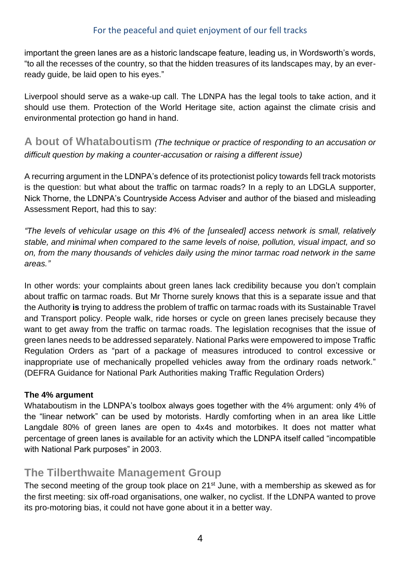#### For the peaceful and quiet enjoyment of our fell tracks

important the green lanes are as a historic landscape feature, leading us, in Wordsworth's words, "to all the recesses of the country, so that the hidden treasures of its landscapes may, by an everready guide, be laid open to his eyes."

Liverpool should serve as a wake-up call. The LDNPA has the legal tools to take action, and it should use them. Protection of the World Heritage site, action against the climate crisis and environmental protection go hand in hand.

**A bout of Whataboutism** *(The technique or practice of responding to an accusation or difficult question by making a counter-accusation or raising a different issue)*

A recurring argument in the LDNPA's defence of its protectionist policy towards fell track motorists is the question: but what about the traffic on tarmac roads? In a reply to an LDGLA supporter, Nick Thorne, the LDNPA's Countryside Access Adviser and author of the biased and misleading Assessment Report, had this to say:

*"The levels of vehicular usage on this 4% of the [unsealed] access network is small, relatively stable, and minimal when compared to the same levels of noise, pollution, visual impact, and so on, from the many thousands of vehicles daily using the minor tarmac road network in the same areas."*

In other words: your complaints about green lanes lack credibility because you don't complain about traffic on tarmac roads. But Mr Thorne surely knows that this is a separate issue and that the Authority **is** trying to address the problem of traffic on tarmac roads with its Sustainable Travel and Transport policy. People walk, ride horses or cycle on green lanes precisely because they want to get away from the traffic on tarmac roads. The legislation recognises that the issue of green lanes needs to be addressed separately. National Parks were empowered to impose Traffic Regulation Orders as "part of a package of measures introduced to control excessive or inappropriate use of mechanically propelled vehicles away from the ordinary roads network." (DEFRA Guidance for National Park Authorities making Traffic Regulation Orders)

#### **The 4% argument**

Whataboutism in the LDNPA's toolbox always goes together with the 4% argument: only 4% of the "linear network" can be used by motorists. Hardly comforting when in an area like Little Langdale 80% of green lanes are open to 4x4s and motorbikes. It does not matter what percentage of green lanes is available for an activity which the LDNPA itself called "incompatible with National Park purposes" in 2003.

### **The Tilberthwaite Management Group**

The second meeting of the group took place on 21<sup>st</sup> June, with a membership as skewed as for the first meeting: six off-road organisations, one walker, no cyclist. If the LDNPA wanted to prove its pro-motoring bias, it could not have gone about it in a better way.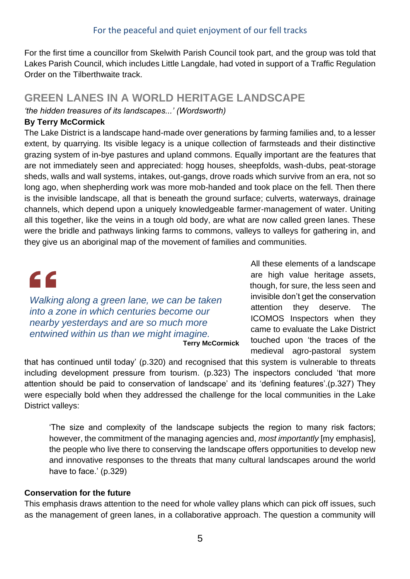For the first time a councillor from Skelwith Parish Council took part, and the group was told that Lakes Parish Council, which includes Little Langdale, had voted in support of a Traffic Regulation Order on the Tilberthwaite track.

## **GREEN LANES IN A WORLD HERITAGE LANDSCAPE**

*'the hidden treasures of its landscapes...' (Wordsworth)*

#### **By Terry McCormick**

The Lake District is a landscape hand-made over generations by farming families and, to a lesser extent, by quarrying. Its visible legacy is a unique collection of farmsteads and their distinctive grazing system of in-bye pastures and upland commons. Equally important are the features that are not immediately seen and appreciated: hogg houses, sheepfolds, wash-dubs, peat-storage sheds, walls and wall systems, intakes, out-gangs, drove roads which survive from an era, not so long ago, when shepherding work was more mob-handed and took place on the fell. Then there is the invisible landscape, all that is beneath the ground surface; culverts, waterways, drainage channels, which depend upon a uniquely knowledgeable farmer-management of water. Uniting all this together, like the veins in a tough old body, are what are now called green lanes. These were the bridle and pathways linking farms to commons, valleys to valleys for gathering in, and they give us an aboriginal map of the movement of families and communities.



*Walking along a green lane, we can be taken into a zone in which centuries become our nearby yesterdays and are so much more entwined within us than we might imagine.*  **Terry McCormick**

All these elements of a landscape are high value heritage assets, though, for sure, the less seen and invisible don't get the conservation attention they deserve. The ICOMOS Inspectors when they came to evaluate the Lake District touched upon 'the traces of the medieval agro-pastoral system

that has continued until today' (p.320) and recognised that this system is vulnerable to threats including development pressure from tourism. (p.323) The inspectors concluded 'that more attention should be paid to conservation of landscape' and its 'defining features'.(p.327) They were especially bold when they addressed the challenge for the local communities in the Lake District valleys:

'The size and complexity of the landscape subjects the region to many risk factors; however, the commitment of the managing agencies and, *most importantly* [my emphasis], the people who live there to conserving the landscape offers opportunities to develop new and innovative responses to the threats that many cultural landscapes around the world have to face.' (p.329)

#### **Conservation for the future**

This emphasis draws attention to the need for whole valley plans which can pick off issues, such as the management of green lanes, in a collaborative approach. The question a community will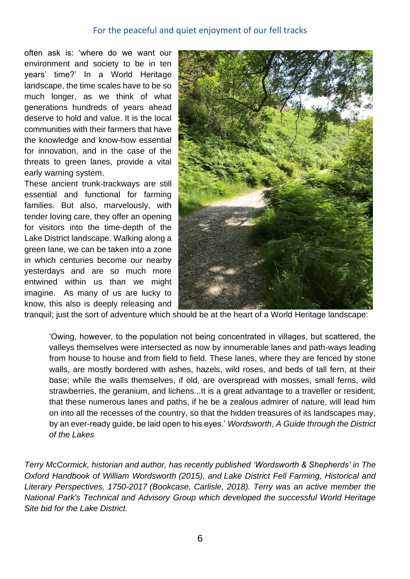#### For the peaceful and quiet enjoyment of our fell tracks

often ask is: 'where do we want our environment and society to be in ten years' time?' In a World Heritage landscape, the time scales have to be so much longer, as we think of what generations hundreds of years ahead deserve to hold and value. It is the local communities with their farmers that have the knowledge and know-how essential for innovation, and in the case of the threats to green lanes, provide a vital early warning system.

These ancient trunk-trackways are still essential and functional for farming families. But also, marvelously, with tender loving care, they offer an opening for visitors into the time-depth of the Lake District landscape. Walking along a green lane, we can be taken into a zone in which centuries become our nearby yesterdays and are so much more entwined within us than we might imagine. As many of us are lucky to know, this also is deeply releasing and



tranquil; just the sort of adventure which should be at the heart of a World Heritage landscape:

'Owing, however, to the population not being concentrated in villages, but scattered, the valleys themselves were intersected as now by innumerable lanes and path-ways leading from house to house and from field to field. These lanes, where they are fenced by stone walls, are mostly bordered with ashes, hazels, wild roses, and beds of tall fern, at their base; while the walls themselves, if old, are overspread with mosses, small ferns, wild strawberries, the geranium, and lichens...It is a great advantage to a traveller or resident, that these numerous lanes and paths, if he be a zealous admirer of nature, will lead him on into all the recesses of the country, so that the hidden treasures of its landscapes may, by an ever-ready guide, be laid open to his eyes.' *Wordsworth, A Guide through the District of the Lakes*

*Terry McCormick, historian and author, has recently published 'Wordsworth & Shepherds' in The Oxford Handbook of William Wordsworth (2015), and Lake District Fell Farming, Historical and Literary Perspectives, 1750-2017 (Bookcase, Carlisle, 2018). Terry was an active member the National Park's Technical and Advisory Group which developed the successful World Heritage Site bid for the Lake District.*